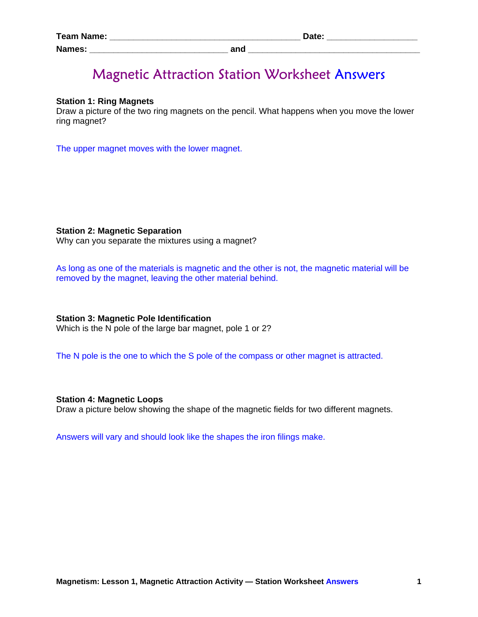| <b>Team Name:</b><br>______ | ח+פר |
|-----------------------------|------|
| <b>Names:</b>               | and  |

# Magnetic Attraction Station Worksheet Answers

### **Station 1: Ring Magnets**

Draw a picture of the two ring magnets on the pencil. What happens when you move the lower ring magnet?

The upper magnet moves with the lower magnet.

#### **Station 2: Magnetic Separation**

Why can you separate the mixtures using a magnet?

As long as one of the materials is magnetic and the other is not, the magnetic material will be removed by the magnet, leaving the other material behind.

### **Station 3: Magnetic Pole Identification**

Which is the N pole of the large bar magnet, pole 1 or 2?

The N pole is the one to which the S pole of the compass or other magnet is attracted.

#### **Station 4: Magnetic Loops**

Draw a picture below showing the shape of the magnetic fields for two different magnets.

Answers will vary and should look like the shapes the iron filings make.